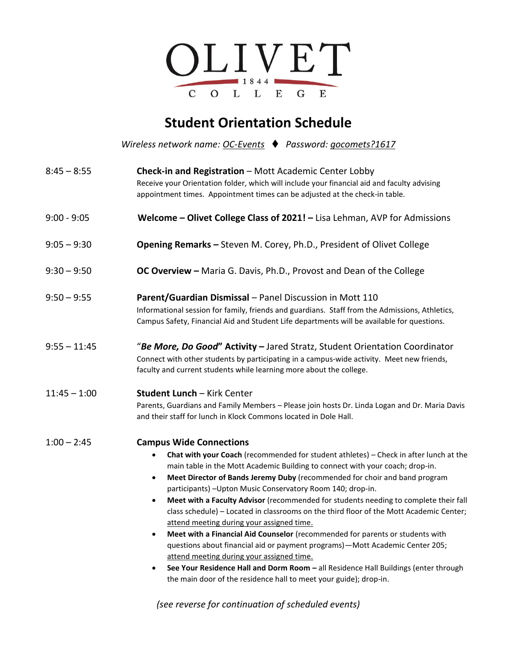

## **Student Orientation Schedule**

*Wireless network name: OC-Events Password: gocomets?1617*

| Check-in and Registration - Mott Academic Center Lobby<br>Receive your Orientation folder, which will include your financial aid and faculty advising<br>appointment times. Appointment times can be adjusted at the check-in table.                                                                                                                                                                                                                                                                                                                                                                                                                                                                                                                                                                                                                                                                                                                                                                     |
|----------------------------------------------------------------------------------------------------------------------------------------------------------------------------------------------------------------------------------------------------------------------------------------------------------------------------------------------------------------------------------------------------------------------------------------------------------------------------------------------------------------------------------------------------------------------------------------------------------------------------------------------------------------------------------------------------------------------------------------------------------------------------------------------------------------------------------------------------------------------------------------------------------------------------------------------------------------------------------------------------------|
| Welcome - Olivet College Class of 2021! - Lisa Lehman, AVP for Admissions                                                                                                                                                                                                                                                                                                                                                                                                                                                                                                                                                                                                                                                                                                                                                                                                                                                                                                                                |
| <b>Opening Remarks - Steven M. Corey, Ph.D., President of Olivet College</b>                                                                                                                                                                                                                                                                                                                                                                                                                                                                                                                                                                                                                                                                                                                                                                                                                                                                                                                             |
| <b>OC Overview - Maria G. Davis, Ph.D., Provost and Dean of the College</b>                                                                                                                                                                                                                                                                                                                                                                                                                                                                                                                                                                                                                                                                                                                                                                                                                                                                                                                              |
| Parent/Guardian Dismissal - Panel Discussion in Mott 110<br>Informational session for family, friends and guardians. Staff from the Admissions, Athletics,<br>Campus Safety, Financial Aid and Student Life departments will be available for questions.                                                                                                                                                                                                                                                                                                                                                                                                                                                                                                                                                                                                                                                                                                                                                 |
| "Be More, Do Good" Activity - Jared Stratz, Student Orientation Coordinator<br>Connect with other students by participating in a campus-wide activity. Meet new friends,<br>faculty and current students while learning more about the college.                                                                                                                                                                                                                                                                                                                                                                                                                                                                                                                                                                                                                                                                                                                                                          |
| <b>Student Lunch - Kirk Center</b><br>Parents, Guardians and Family Members - Please join hosts Dr. Linda Logan and Dr. Maria Davis<br>and their staff for lunch in Klock Commons located in Dole Hall.                                                                                                                                                                                                                                                                                                                                                                                                                                                                                                                                                                                                                                                                                                                                                                                                  |
| <b>Campus Wide Connections</b><br>Chat with your Coach (recommended for student athletes) - Check in after lunch at the<br>$\bullet$<br>main table in the Mott Academic Building to connect with your coach; drop-in.<br>Meet Director of Bands Jeremy Duby (recommended for choir and band program<br>$\bullet$<br>participants) - Upton Music Conservatory Room 140; drop-in.<br>Meet with a Faculty Advisor (recommended for students needing to complete their fall<br>$\bullet$<br>class schedule) - Located in classrooms on the third floor of the Mott Academic Center;<br>attend meeting during your assigned time.<br>Meet with a Financial Aid Counselor (recommended for parents or students with<br>questions about financial aid or payment programs) - Mott Academic Center 205;<br>attend meeting during your assigned time.<br>See Your Residence Hall and Dorm Room - all Residence Hall Buildings (enter through<br>the main door of the residence hall to meet your guide); drop-in. |
|                                                                                                                                                                                                                                                                                                                                                                                                                                                                                                                                                                                                                                                                                                                                                                                                                                                                                                                                                                                                          |

*(see reverse for continuation of scheduled events)*